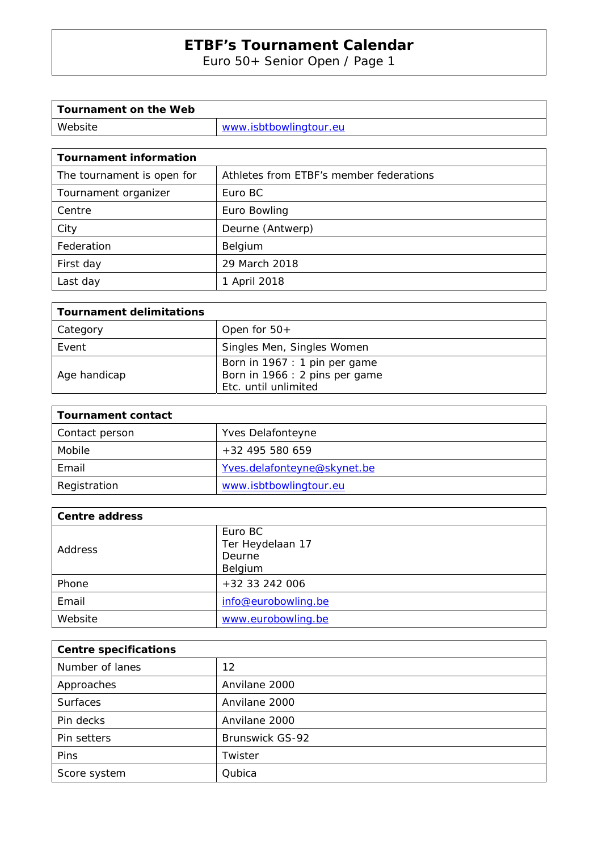Euro 50+ Senior Open / Page 1

| Tournament on the Web |                        |
|-----------------------|------------------------|
| Website               | www.isbtbowlingtour.eu |

| <b>Tournament information</b> |                                         |  |  |
|-------------------------------|-----------------------------------------|--|--|
| The tournament is open for    | Athletes from ETBF's member federations |  |  |
| Tournament organizer          | Euro BC                                 |  |  |
| Centre                        | Euro Bowling                            |  |  |
| City                          | Deurne (Antwerp)                        |  |  |
| Federation                    | Belgium                                 |  |  |
| First day                     | 29 March 2018                           |  |  |
| Last day                      | 1 April 2018                            |  |  |

| Tournament delimitations |                                |
|--------------------------|--------------------------------|
| Category                 | Open for $50+$                 |
| Event                    | Singles Men, Singles Women     |
|                          | Born in 1967 : 1 pin per game  |
| Age handicap             | Born in 1966 : 2 pins per game |
|                          | Etc. until unlimited           |

| Tournament contact |                             |
|--------------------|-----------------------------|
| Contact person     | Yves Delafonteyne           |
| Mobile             | $+32$ 495 580 659           |
| Email              | Yves.delafonteyne@skynet.be |
| Registration       | www.isbtbowlingtour.eu      |

| <b>Centre address</b> |                                       |
|-----------------------|---------------------------------------|
| Address               | Euro BC<br>Ter Heydelaan 17<br>Deurne |
|                       | Belgium                               |
| Phone                 | +32 33 242 006                        |
| Email                 | info@eurobowling.be                   |
| Website               | www.eurobowling.be                    |

| <b>Centre specifications</b> |                 |  |  |
|------------------------------|-----------------|--|--|
| Number of lanes              | 12              |  |  |
| Approaches                   | Anvilane 2000   |  |  |
| <b>Surfaces</b>              | Anvilane 2000   |  |  |
| Pin decks                    | Anvilane 2000   |  |  |
| Pin setters                  | Brunswick GS-92 |  |  |
| <b>Pins</b>                  | Twister         |  |  |
| Score system                 | Qubica          |  |  |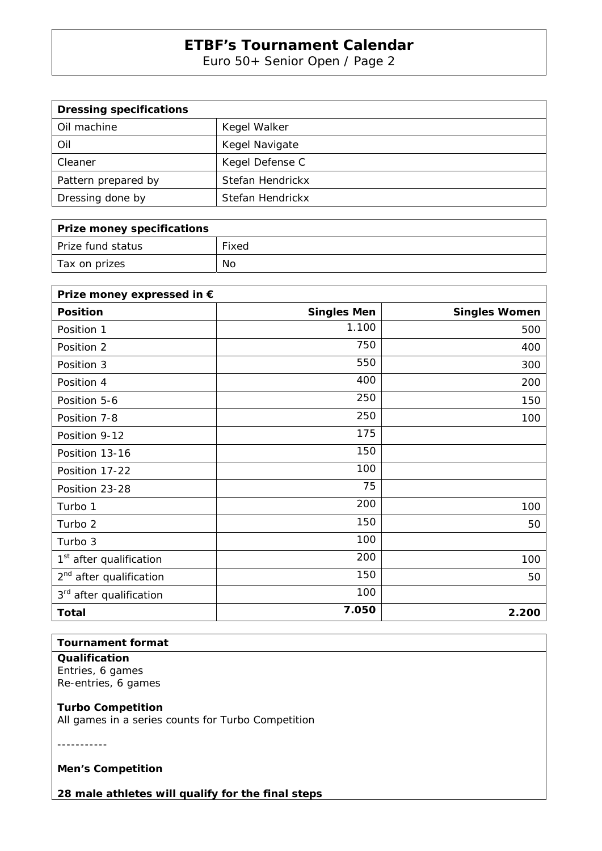Euro 50+ Senior Open / Page 2

| <b>Dressing specifications</b> |                  |
|--------------------------------|------------------|
| Oil machine                    | Kegel Walker     |
| Oil                            | Kegel Navigate   |
| Cleaner                        | Kegel Defense C  |
| Pattern prepared by            | Stefan Hendrickx |
| Dressing done by               | Stefan Hendrickx |

| <b>Prize money specifications</b> |       |
|-----------------------------------|-------|
| Prize fund status                 | Fixed |
| Tax on prizes                     | No    |

| Prize money expressed in €          |                    |                      |
|-------------------------------------|--------------------|----------------------|
| <b>Position</b>                     | <b>Singles Men</b> | <b>Singles Women</b> |
| Position 1                          | 1.100              | 500                  |
| Position 2                          | 750                | 400                  |
| Position 3                          | 550                | 300                  |
| Position 4                          | 400                | 200                  |
| Position 5-6                        | 250                | 150                  |
| Position 7-8                        | 250                | 100                  |
| Position 9-12                       | 175                |                      |
| Position 13-16                      | 150                |                      |
| Position 17-22                      | 100                |                      |
| Position 23-28                      | 75                 |                      |
| Turbo 1                             | 200                | 100                  |
| Turbo 2                             | 150                | 50                   |
| Turbo 3                             | 100                |                      |
| 1 <sup>st</sup> after qualification | 200                | 100                  |
| 2 <sup>nd</sup> after qualification | 150                | 50                   |
| 3 <sup>rd</sup> after qualification | 100                |                      |
| <b>Total</b>                        | 7.050              | 2.200                |

### **Tournament format**

**Qualification**  Entries, 6 games Re-entries, 6 games

#### **Turbo Competition**

All games in a series counts for Turbo Competition

-----------

**Men's Competition** 

**28 male athletes will qualify for the final steps**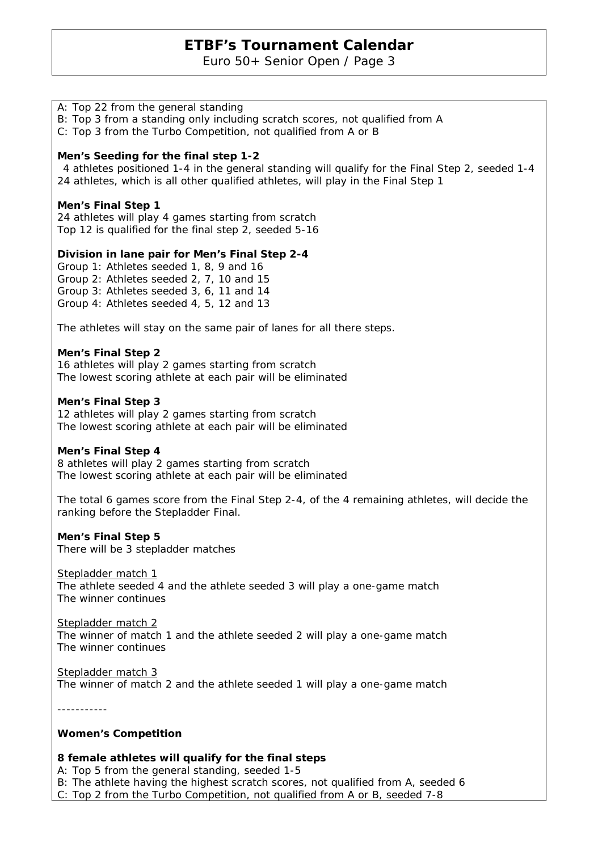Euro 50+ Senior Open / Page 3

### A: Top 22 from the general standing

B: Top 3 from a standing only including scratch scores, not qualified from A

C: Top 3 from the Turbo Competition, not qualified from A or B

#### **Men's Seeding for the final step 1-2**

 4 athletes positioned 1-4 in the general standing will qualify for the Final Step 2, seeded 1-4 24 athletes, which is all other qualified athletes, will play in the Final Step 1

#### **Men's Final Step 1**

24 athletes will play 4 games starting from scratch Top 12 is qualified for the final step 2, seeded 5-16

#### **Division in lane pair for Men's Final Step 2-4**

Group 1: Athletes seeded 1, 8, 9 and 16 Group 2: Athletes seeded 2, 7, 10 and 15 Group 3: Athletes seeded 3, 6, 11 and 14 Group 4: Athletes seeded 4, 5, 12 and 13

The athletes will stay on the same pair of lanes for all there steps.

#### **Men's Final Step 2**

16 athletes will play 2 games starting from scratch The lowest scoring athlete at each pair will be eliminated

#### **Men's Final Step 3**

12 athletes will play 2 games starting from scratch The lowest scoring athlete at each pair will be eliminated

#### **Men's Final Step 4**

8 athletes will play 2 games starting from scratch The lowest scoring athlete at each pair will be eliminated

The total 6 games score from the Final Step 2-4, of the 4 remaining athletes, will decide the ranking before the Stepladder Final.

#### **Men's Final Step 5**

There will be 3 stepladder matches

Stepladder match 1

The athlete seeded 4 and the athlete seeded 3 will play a one-game match The winner continues

## Stepladder match 2

The winner of match 1 and the athlete seeded 2 will play a one-game match The winner continues

Stepladder match 3 The winner of match 2 and the athlete seeded 1 will play a one-game match

-----------

#### **Women's Competition**

### **8 female athletes will qualify for the final steps**

A: Top 5 from the general standing, seeded 1-5

B: The athlete having the highest scratch scores, not qualified from A, seeded 6

C: Top 2 from the Turbo Competition, not qualified from A or B, seeded 7-8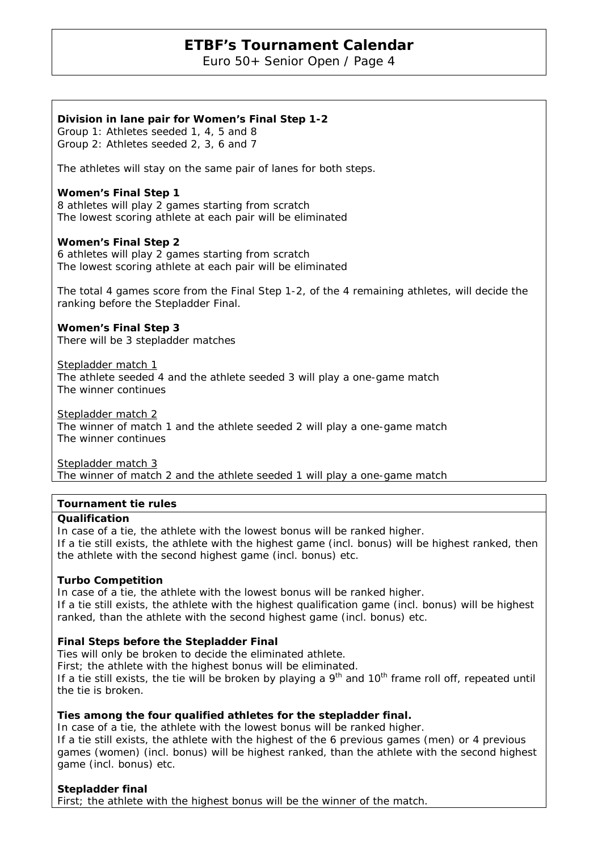Euro 50+ Senior Open / Page 4

#### **Division in lane pair for Women's Final Step 1-2**

Group 1: Athletes seeded 1, 4, 5 and 8 Group 2: Athletes seeded 2, 3, 6 and 7

The athletes will stay on the same pair of lanes for both steps.

#### **Women's Final Step 1**

8 athletes will play 2 games starting from scratch The lowest scoring athlete at each pair will be eliminated

#### **Women's Final Step 2**

6 athletes will play 2 games starting from scratch The lowest scoring athlete at each pair will be eliminated

The total 4 games score from the Final Step 1-2, of the 4 remaining athletes, will decide the ranking before the Stepladder Final.

**Women's Final Step 3**  There will be 3 stepladder matches

Stepladder match 1

The athlete seeded 4 and the athlete seeded 3 will play a one-game match The winner continues

Stepladder match 2

The winner of match 1 and the athlete seeded 2 will play a one-game match The winner continues

Stepladder match 3

The winner of match 2 and the athlete seeded 1 will play a one-game match

#### **Tournament tie rules**

#### **Qualification**

In case of a tie, the athlete with the lowest bonus will be ranked higher. If a tie still exists, the athlete with the highest game (incl. bonus) will be highest ranked, then the athlete with the second highest game (incl. bonus) etc.

#### **Turbo Competition**

In case of a tie, the athlete with the lowest bonus will be ranked higher. If a tie still exists, the athlete with the highest qualification game (incl. bonus) will be highest ranked, than the athlete with the second highest game (incl. bonus) etc.

#### **Final Steps before the Stepladder Final**

Ties will only be broken to decide the eliminated athlete.

First; the athlete with the highest bonus will be eliminated.

If a tie still exists, the tie will be broken by playing a  $9<sup>th</sup>$  and  $10<sup>th</sup>$  frame roll off, repeated until the tie is broken.

#### **Ties among the four qualified athletes for the stepladder final.**

In case of a tie, the athlete with the lowest bonus will be ranked higher. If a tie still exists, the athlete with the highest of the 6 previous games (men) or 4 previous games (women) (incl. bonus) will be highest ranked, than the athlete with the second highest game (incl. bonus) etc.

**Stepladder final** 

First; the athlete with the highest bonus will be the winner of the match.